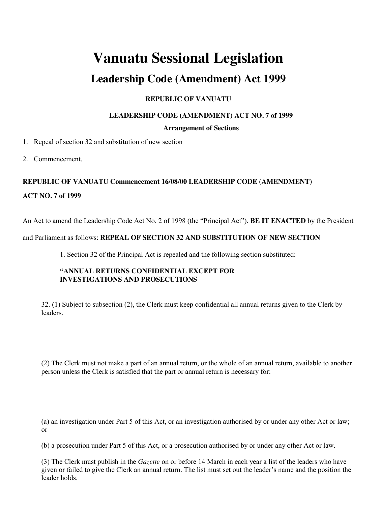# **Vanuatu Sessional Legislation**

# **Leadership Code (Amendment) Act 1999**

## **REPUBLIC OF VANUATU**

### **LEADERSHIP CODE (AMENDMENT) ACT NO. 7 of 1999**

#### **Arrangement of Sections**

1. Repeal of section 32 and substitution of new section

2. Commencement.

#### **REPUBLIC OF VANUATU Commencement 16/08/00 LEADERSHIP CODE (AMENDMENT)**

#### **ACT NO. 7 of 1999**

An Act to amend the Leadership Code Act No. 2 of 1998 (the "Principal Act"). **BE IT ENACTED** by the President

#### and Parliament as follows: **REPEAL OF SECTION 32 AND SUBSTITUTION OF NEW SECTION**

1. Section 32 of the Principal Act is repealed and the following section substituted:

#### **"ANNUAL RETURNS CONFIDENTIAL EXCEPT FOR INVESTIGATIONS AND PROSECUTIONS**

32. (1) Subject to subsection (2), the Clerk must keep confidential all annual returns given to the Clerk by leaders.

(2) The Clerk must not make a part of an annual return, or the whole of an annual return, available to another person unless the Clerk is satisfied that the part or annual return is necessary for:

(a) an investigation under Part 5 of this Act, or an investigation authorised by or under any other Act or law; or

(b) a prosecution under Part 5 of this Act, or a prosecution authorised by or under any other Act or law.

(3) The Clerk must publish in the *Gazette* on or before 14 March in each year a list of the leaders who have given or failed to give the Clerk an annual return. The list must set out the leader's name and the position the leader holds.